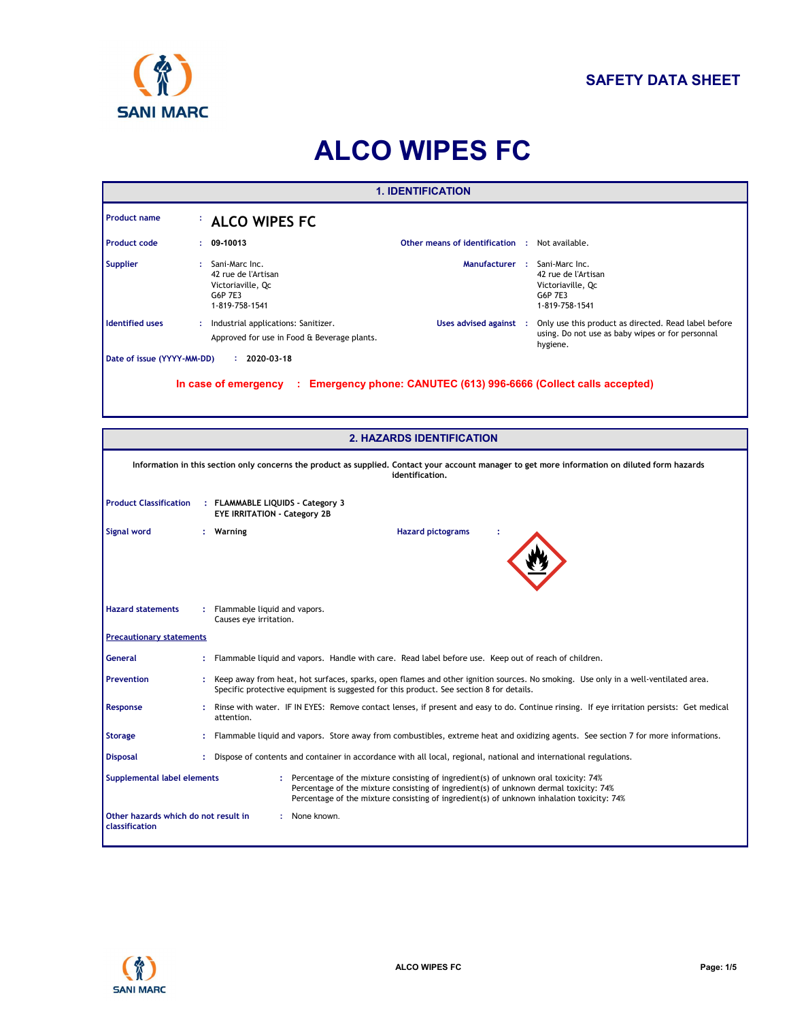

# **ALCO WIPES FC**

| <b>1. IDENTIFICATION</b>           |                                                                                                                                                                    |                                                                                         |                                                                                                                                                                                                                                                                             |  |  |  |  |  |
|------------------------------------|--------------------------------------------------------------------------------------------------------------------------------------------------------------------|-----------------------------------------------------------------------------------------|-----------------------------------------------------------------------------------------------------------------------------------------------------------------------------------------------------------------------------------------------------------------------------|--|--|--|--|--|
| <b>Product name</b>                |                                                                                                                                                                    | <b>ALCO WIPES FC</b>                                                                    |                                                                                                                                                                                                                                                                             |  |  |  |  |  |
| <b>Product code</b>                | ×                                                                                                                                                                  | 09-10013                                                                                | Other means of identification : Not available.                                                                                                                                                                                                                              |  |  |  |  |  |
| <b>Supplier</b>                    |                                                                                                                                                                    | Sani-Marc Inc.<br>42 rue de l'Artisan<br>Victoriaville, Qc<br>G6P 7E3<br>1-819-758-1541 | Manufacturer : Sani-Marc Inc.<br>42 rue de l'Artisan<br>Victoriaville, Qc<br>G6P 7E3<br>1-819-758-1541                                                                                                                                                                      |  |  |  |  |  |
| <b>Identified uses</b>             |                                                                                                                                                                    | Industrial applications: Sanitizer.<br>Approved for use in Food & Beverage plants.      | Uses advised against : Only use this product as directed. Read label before<br>using. Do not use as baby wipes or for personnal<br>hygiene.                                                                                                                                 |  |  |  |  |  |
| Date of issue (YYYY-MM-DD)         |                                                                                                                                                                    | $: 2020 - 03 - 18$                                                                      |                                                                                                                                                                                                                                                                             |  |  |  |  |  |
|                                    | In case of emergency : Emergency phone: CANUTEC (613) 996-6666 (Collect calls accepted)                                                                            |                                                                                         |                                                                                                                                                                                                                                                                             |  |  |  |  |  |
|                                    |                                                                                                                                                                    |                                                                                         | <b>2. HAZARDS IDENTIFICATION</b>                                                                                                                                                                                                                                            |  |  |  |  |  |
|                                    | Information in this section only concerns the product as supplied. Contact your account manager to get more information on diluted form hazards<br>identification. |                                                                                         |                                                                                                                                                                                                                                                                             |  |  |  |  |  |
| <b>Product Classification</b>      |                                                                                                                                                                    | : FLAMMABLE LIQUIDS - Category 3<br><b>EYE IRRITATION - Category 2B</b>                 |                                                                                                                                                                                                                                                                             |  |  |  |  |  |
| Signal word                        | : Warning<br><b>Hazard pictograms</b>                                                                                                                              |                                                                                         |                                                                                                                                                                                                                                                                             |  |  |  |  |  |
| <b>Hazard statements</b>           |                                                                                                                                                                    | Flammable liquid and vapors.<br>Causes eye irritation.                                  |                                                                                                                                                                                                                                                                             |  |  |  |  |  |
| <b>Precautionary statements</b>    |                                                                                                                                                                    |                                                                                         |                                                                                                                                                                                                                                                                             |  |  |  |  |  |
| <b>General</b>                     |                                                                                                                                                                    |                                                                                         | Flammable liquid and vapors. Handle with care. Read label before use. Keep out of reach of children.                                                                                                                                                                        |  |  |  |  |  |
| <b>Prevention</b>                  |                                                                                                                                                                    |                                                                                         | : Keep away from heat, hot surfaces, sparks, open flames and other ignition sources. No smoking. Use only in a well-ventilated area.<br>Specific protective equipment is suggested for this product. See section 8 for details.                                             |  |  |  |  |  |
| Response                           | ÷                                                                                                                                                                  | attention.                                                                              | Rinse with water. IF IN EYES: Remove contact lenses, if present and easy to do. Continue rinsing. If eye irritation persists: Get medical                                                                                                                                   |  |  |  |  |  |
| <b>Storage</b>                     |                                                                                                                                                                    |                                                                                         | Flammable liquid and vapors. Store away from combustibles, extreme heat and oxidizing agents. See section 7 for more informations.                                                                                                                                          |  |  |  |  |  |
| <b>Disposal</b>                    |                                                                                                                                                                    |                                                                                         | : Dispose of contents and container in accordance with all local, regional, national and international regulations.                                                                                                                                                         |  |  |  |  |  |
| <b>Supplemental label elements</b> |                                                                                                                                                                    |                                                                                         | : Percentage of the mixture consisting of ingredient(s) of unknown oral toxicity: 74%<br>Percentage of the mixture consisting of ingredient(s) of unknown dermal toxicity: 74%<br>Percentage of the mixture consisting of ingredient(s) of unknown inhalation toxicity: 74% |  |  |  |  |  |
| classification                     | Other hazards which do not result in<br>: None known.                                                                                                              |                                                                                         |                                                                                                                                                                                                                                                                             |  |  |  |  |  |

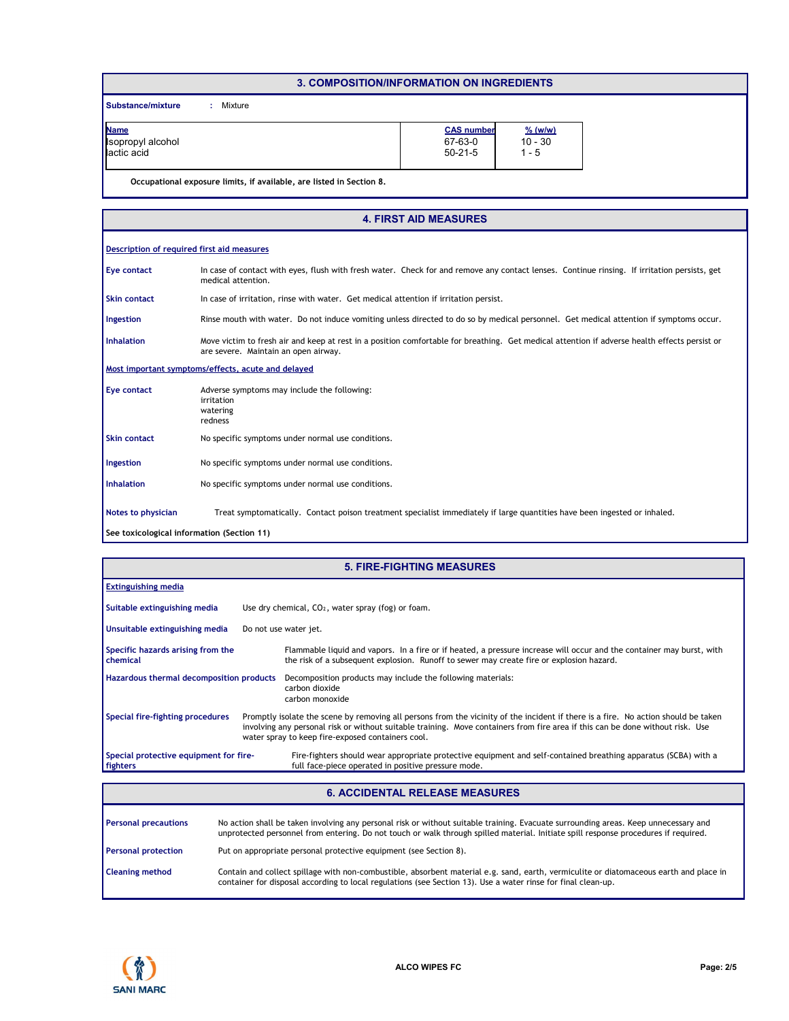### **3. COMPOSITION/INFORMATION ON INGREDIENTS**

**Substance/mixture :** : Mixture

| <b>Name</b>                | <b>CAS number</b> | $%$ (w/w) |
|----------------------------|-------------------|-----------|
| <b>S</b> Isopropyl alcohol | 67-63-0           | $10 - 30$ |
| lactic acid                | $50 - 21 - 5$     | - 5       |
|                            |                   |           |

**Occupational exposure limits, if available, are listed in Section 8.**

### Rinse mouth with water. Do not induce vomiting unless directed to do so by medical personnel. Get medical attention if symptoms occur. In case of contact with eyes, flush with fresh water. Check for and remove any contact lenses. Continue rinsing. If irritation persists, get medical attention. In case of irritation, rinse with water. Get medical attention if irritation persist. Move victim to fresh air and keep at rest in a position comfortable for breathing. Get medical attention if adverse health effects persist or are severe. Maintain an open airway. **Eye contact Skin contact Inhalation Ingestion Notes to physician** Treat symptomatically. Contact poison treatment specialist immediately if large quantities have been ingested or inhaled. **Description of required first aid measures Most important symptoms/effects, acute and delayed Skin contact Ingestion Inhalation** No specific symptoms under normal use conditions. No specific symptoms under normal use conditions. No specific symptoms under normal use conditions. **Eye contact** Adverse symptoms may include the following: irritation watering redness **See toxicological information (Section 11) 4. FIRST AID MEASURES**

| <b>5. FIRE-FIGHTING MEASURES</b>                     |                                                                                                                                                                                                                                                                                                                           |  |  |  |  |  |
|------------------------------------------------------|---------------------------------------------------------------------------------------------------------------------------------------------------------------------------------------------------------------------------------------------------------------------------------------------------------------------------|--|--|--|--|--|
| <b>Extinguishing media</b>                           |                                                                                                                                                                                                                                                                                                                           |  |  |  |  |  |
| Suitable extinguishing media                         | Use dry chemical, $CO2$ , water spray (fog) or foam.                                                                                                                                                                                                                                                                      |  |  |  |  |  |
| Unsuitable extinguishing media                       | Do not use water jet.                                                                                                                                                                                                                                                                                                     |  |  |  |  |  |
| Specific hazards arising from the<br><b>chemical</b> | Flammable liquid and vapors. In a fire or if heated, a pressure increase will occur and the container may burst, with<br>the risk of a subsequent explosion. Runoff to sewer may create fire or explosion hazard.                                                                                                         |  |  |  |  |  |
| Hazardous thermal decomposition products             | Decomposition products may include the following materials:<br>carbon dioxide<br>carbon monoxide                                                                                                                                                                                                                          |  |  |  |  |  |
| Special fire-fighting procedures                     | Promptly isolate the scene by removing all persons from the vicinity of the incident if there is a fire. No action should be taken<br>involving any personal risk or without suitable training. Move containers from fire area if this can be done without risk. Use<br>water spray to keep fire-exposed containers cool. |  |  |  |  |  |
| Special protective equipment for fire-<br>fighters   | Fire-fighters should wear appropriate protective equipment and self-contained breathing apparatus (SCBA) with a<br>full face-piece operated in positive pressure mode.                                                                                                                                                    |  |  |  |  |  |
|                                                      |                                                                                                                                                                                                                                                                                                                           |  |  |  |  |  |

| <b>6. ACCIDENTAL RELEASE MEASURES</b> |                                                                                                                                                                                                                                                                            |  |  |  |  |
|---------------------------------------|----------------------------------------------------------------------------------------------------------------------------------------------------------------------------------------------------------------------------------------------------------------------------|--|--|--|--|
| <b>Personal precautions</b>           | No action shall be taken involving any personal risk or without suitable training. Evacuate surrounding areas. Keep unnecessary and<br>unprotected personnel from entering. Do not touch or walk through spilled material. Initiate spill response procedures if required. |  |  |  |  |
| <b>Personal protection</b>            | Put on appropriate personal protective equipment (see Section 8).                                                                                                                                                                                                          |  |  |  |  |
| <b>Cleaning method</b>                | Contain and collect spillage with non-combustible, absorbent material e.g. sand, earth, vermiculite or diatomaceous earth and place in<br>container for disposal according to local regulations (see Section 13). Use a water rinse for final clean-up.                    |  |  |  |  |

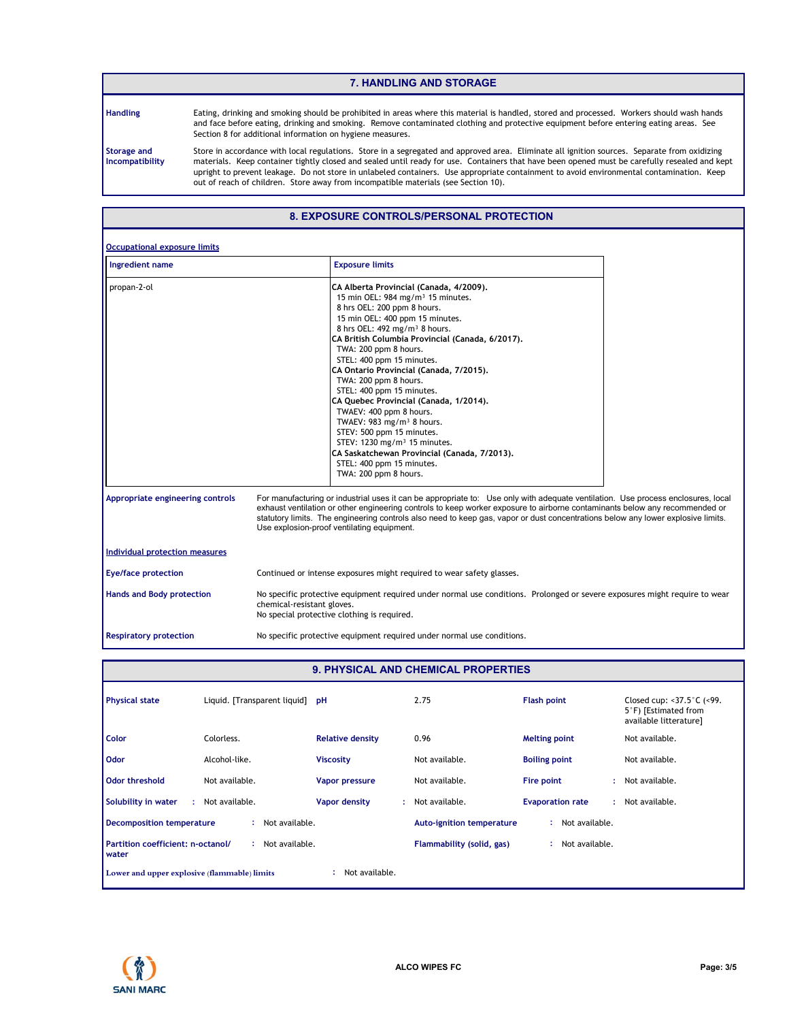#### **7. HANDLING AND STORAGE**

**Handling**

Eating, drinking and smoking should be prohibited in areas where this material is handled, stored and processed. Workers should wash hands and face before eating, drinking and smoking. Remove contaminated clothing and protective equipment before entering eating areas. See Section 8 for additional information on hygiene measures.

**Storage and Incompatibility**

Store in accordance with local regulations. Store in a segregated and approved area. Eliminate all ignition sources. Separate from oxidizing materials. Keep container tightly closed and sealed until ready for use. Containers that have been opened must be carefully resealed and kept upright to prevent leakage. Do not store in unlabeled containers. Use appropriate containment to avoid environmental contamination. Keep out of reach of children. Store away from incompatible materials (see Section 10).

# **8. EXPOSURE CONTROLS/PERSONAL PROTECTION**

| Ingredient name                       | <b>Exposure limits</b>                                                                                                                                                                                                                                                                                                                                                                                                                                                                                                                                                                                                                                                                                          |
|---------------------------------------|-----------------------------------------------------------------------------------------------------------------------------------------------------------------------------------------------------------------------------------------------------------------------------------------------------------------------------------------------------------------------------------------------------------------------------------------------------------------------------------------------------------------------------------------------------------------------------------------------------------------------------------------------------------------------------------------------------------------|
| propan-2-ol                           | CA Alberta Provincial (Canada, 4/2009).<br>15 min OEL: 984 mg/m <sup>3</sup> 15 minutes.<br>8 hrs OEL: 200 ppm 8 hours.<br>15 min OEL: 400 ppm 15 minutes.<br>8 hrs OEL: 492 mg/m <sup>3</sup> 8 hours.<br>CA British Columbia Provincial (Canada, 6/2017).<br>TWA: 200 ppm 8 hours.<br>STEL: 400 ppm 15 minutes.<br>CA Ontario Provincial (Canada, 7/2015).<br>TWA: 200 ppm 8 hours.<br>STEL: 400 ppm 15 minutes.<br>CA Quebec Provincial (Canada, 1/2014).<br>TWAEV: 400 ppm 8 hours.<br>TWAEV: 983 mg/m <sup>3</sup> 8 hours.<br>STEV: 500 ppm 15 minutes.<br>STEV: 1230 mg/m <sup>3</sup> 15 minutes.<br>CA Saskatchewan Provincial (Canada, 7/2013).<br>STEL: 400 ppm 15 minutes.<br>TWA: 200 ppm 8 hours. |
| Appropriate engineering controls      | For manufacturing or industrial uses it can be appropriate to: Use only with adequate ventilation. Use process enclosures, local<br>exhaust ventilation or other engineering controls to keep worker exposure to airborne contaminants below any recommended or<br>statutory limits. The engineering controls also need to keep gas, vapor or dust concentrations below any lower explosive limits.<br>Use explosion-proof ventilating equipment.                                                                                                                                                                                                                                                               |
| <b>Individual protection measures</b> |                                                                                                                                                                                                                                                                                                                                                                                                                                                                                                                                                                                                                                                                                                                 |
| <b>Eye/face protection</b>            | Continued or intense exposures might required to wear safety glasses.                                                                                                                                                                                                                                                                                                                                                                                                                                                                                                                                                                                                                                           |
| <b>Hands and Body protection</b>      | No specific protective equipment required under normal use conditions. Prolonged or severe exposures might require to wear<br>chemical-resistant gloves.<br>No special protective clothing is required.                                                                                                                                                                                                                                                                                                                                                                                                                                                                                                         |
| <b>Respiratory protection</b>         | No specific protective equipment required under normal use conditions.                                                                                                                                                                                                                                                                                                                                                                                                                                                                                                                                                                                                                                          |

| <b>9. PHYSICAL AND CHEMICAL PROPERTIES</b>        |                                 |                            |                                  |                         |                                                                                              |  |  |  |
|---------------------------------------------------|---------------------------------|----------------------------|----------------------------------|-------------------------|----------------------------------------------------------------------------------------------|--|--|--|
| <b>Physical state</b>                             | Liquid. [Transparent liquid] pH |                            | 2.75                             | <b>Flash point</b>      | Closed cup: $<$ 37.5 $\degree$ C ( $<$ 99.<br>5°F) [Estimated from<br>available litterature] |  |  |  |
| <b>Color</b>                                      | Colorless.                      | <b>Relative density</b>    | 0.96                             | <b>Melting point</b>    | Not available.                                                                               |  |  |  |
| <b>Odor</b>                                       | Alcohol-like.                   | <b>Viscosity</b>           | Not available.                   | <b>Boiling point</b>    | Not available.                                                                               |  |  |  |
| Odor threshold                                    | Not available.                  | Vapor pressure             | Not available.                   | Fire point              | : Not available.                                                                             |  |  |  |
| Solubility in water<br>÷.                         | Not available.                  | <b>Vapor density</b><br>÷. | Not available.                   | <b>Evaporation rate</b> | : Not available.                                                                             |  |  |  |
| Decomposition temperature                         | : Not available.                |                            | <b>Auto-ignition temperature</b> | Not available.<br>÷.    |                                                                                              |  |  |  |
| Partition coefficient: n-octanol/<br><b>water</b> | : Not available.                |                            | Flammability (solid, gas)        | Not available.<br>÷     |                                                                                              |  |  |  |
| Lower and upper explosive (flammable) limits      |                                 | Not available.             |                                  |                         |                                                                                              |  |  |  |

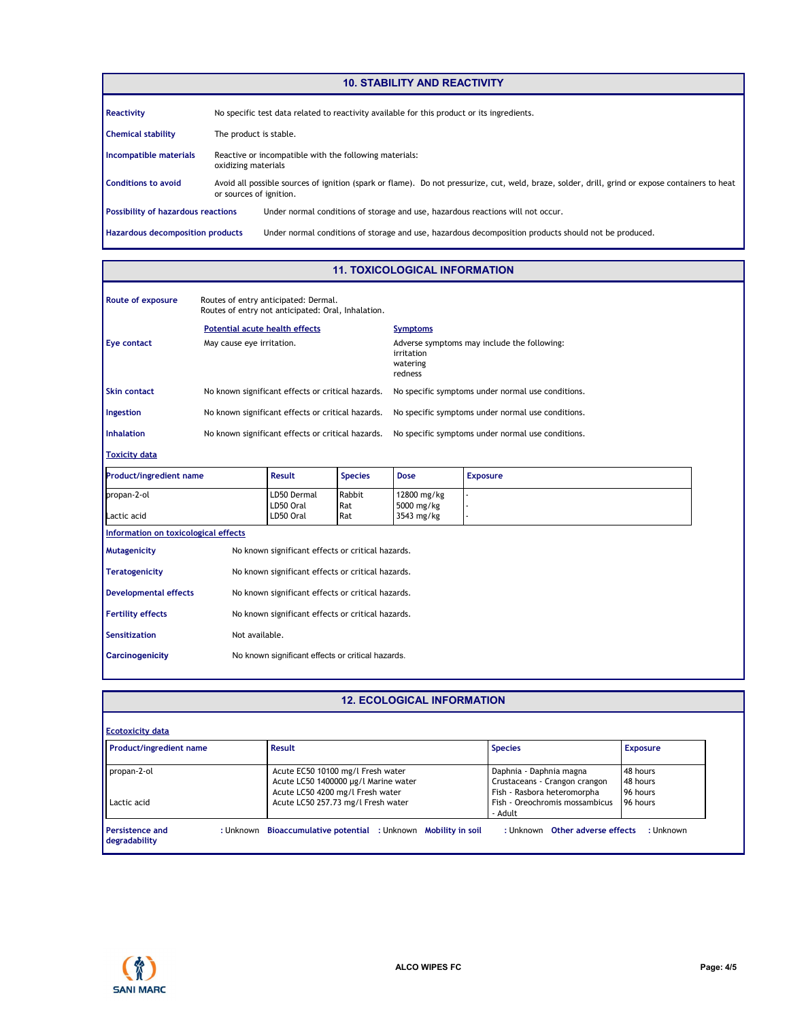# **10. STABILITY AND REACTIVITY**

| Reactivity                                | No specific test data related to reactivity available for this product or its ingredients.                                                                                 |  |  |  |  |  |
|-------------------------------------------|----------------------------------------------------------------------------------------------------------------------------------------------------------------------------|--|--|--|--|--|
| <b>Chemical stability</b>                 | The product is stable.                                                                                                                                                     |  |  |  |  |  |
| Incompatible materials                    | Reactive or incompatible with the following materials:<br>oxidizing materials                                                                                              |  |  |  |  |  |
| <b>Conditions to avoid</b>                | Avoid all possible sources of ignition (spark or flame). Do not pressurize, cut, weld, braze, solder, drill, grind or expose containers to heat<br>or sources of ignition. |  |  |  |  |  |
| <b>Possibility of hazardous reactions</b> | Under normal conditions of storage and use, hazardous reactions will not occur.                                                                                            |  |  |  |  |  |
| <b>Hazardous decomposition products</b>   | Under normal conditions of storage and use, hazardous decomposition products should not be produced.                                                                       |  |  |  |  |  |

# **11. TOXICOLOGICAL INFORMATION**

| Route of exposure              | Routes of entry anticipated: Dermal.<br>Routes of entry not anticipated: Oral, Inhalation. |                                 |                                                                                  |                             |                 |  |
|--------------------------------|--------------------------------------------------------------------------------------------|---------------------------------|----------------------------------------------------------------------------------|-----------------------------|-----------------|--|
|                                | Potential acute health effects                                                             |                                 |                                                                                  | <b>Symptoms</b>             |                 |  |
| Eye contact                    | May cause eye irritation.                                                                  |                                 | Adverse symptoms may include the following:<br>irritation<br>watering<br>redness |                             |                 |  |
| <b>Skin contact</b>            | No known significant effects or critical hazards.                                          |                                 | No specific symptoms under normal use conditions.                                |                             |                 |  |
| Ingestion                      | No known significant effects or critical hazards.                                          |                                 | No specific symptoms under normal use conditions.                                |                             |                 |  |
| <b>Inhalation</b>              | No known significant effects or critical hazards.                                          |                                 | No specific symptoms under normal use conditions.                                |                             |                 |  |
| <b>Toxicity data</b>           |                                                                                            |                                 |                                                                                  |                             |                 |  |
| <b>Product/ingredient name</b> |                                                                                            | Result                          | <b>Species</b>                                                                   | <b>Dose</b>                 | <b>Exposure</b> |  |
| propan-2-ol                    |                                                                                            | LD50 Dermal<br>$F_{\text{max}}$ | Rabbit<br>$D - L$                                                                | 12800 mg/kg<br>$EOM = 11.4$ |                 |  |

| propan-2-ol<br>Lactic acid                                          | LD50 Dermal<br>LD50 Oral<br>LD50 Oral             | Rabbit<br>Rat<br>Rat | 12800 mg/kg<br>5000 mg/kg<br>3543 mg/kg |  |
|---------------------------------------------------------------------|---------------------------------------------------|----------------------|-----------------------------------------|--|
| Information on toxicological effects                                |                                                   |                      |                                         |  |
| Mutagenicity                                                        | No known significant effects or critical hazards. |                      |                                         |  |
| No known significant effects or critical hazards.<br>Teratogenicity |                                                   |                      |                                         |  |
| Developmental effects                                               | No known significant effects or critical hazards. |                      |                                         |  |

| <b>Fertility effects</b> | No known significant effects or critical hazards. |
|--------------------------|---------------------------------------------------|
| Sensitization            | Not available.                                    |
| <b>Carcinogenicity</b>   | No known significant effects or critical hazards. |

# **12. ECOLOGICAL INFORMATION**

| <b>Product/ingredient name</b> | Result                                                                    | <b>Species</b>                                                           | <b>Exposure</b>      |
|--------------------------------|---------------------------------------------------------------------------|--------------------------------------------------------------------------|----------------------|
| propan-2-ol                    | Acute EC50 10100 mg/l Fresh water<br>Acute LC50 1400000 µg/l Marine water | Daphnia - Daphnia magna<br>Crustaceans - Crangon crangon                 | 48 hours<br>48 hours |
| Lactic acid                    | Acute LC50 4200 mg/l Fresh water<br>Acute LC50 257.73 mg/l Fresh water    | Fish - Rasbora heteromorpha<br>Fish - Oreochromis mossambicus<br>- Adult | 96 hours<br>96 hours |